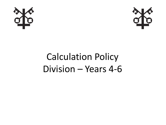



## Calculation Policy Division – Years 4-6